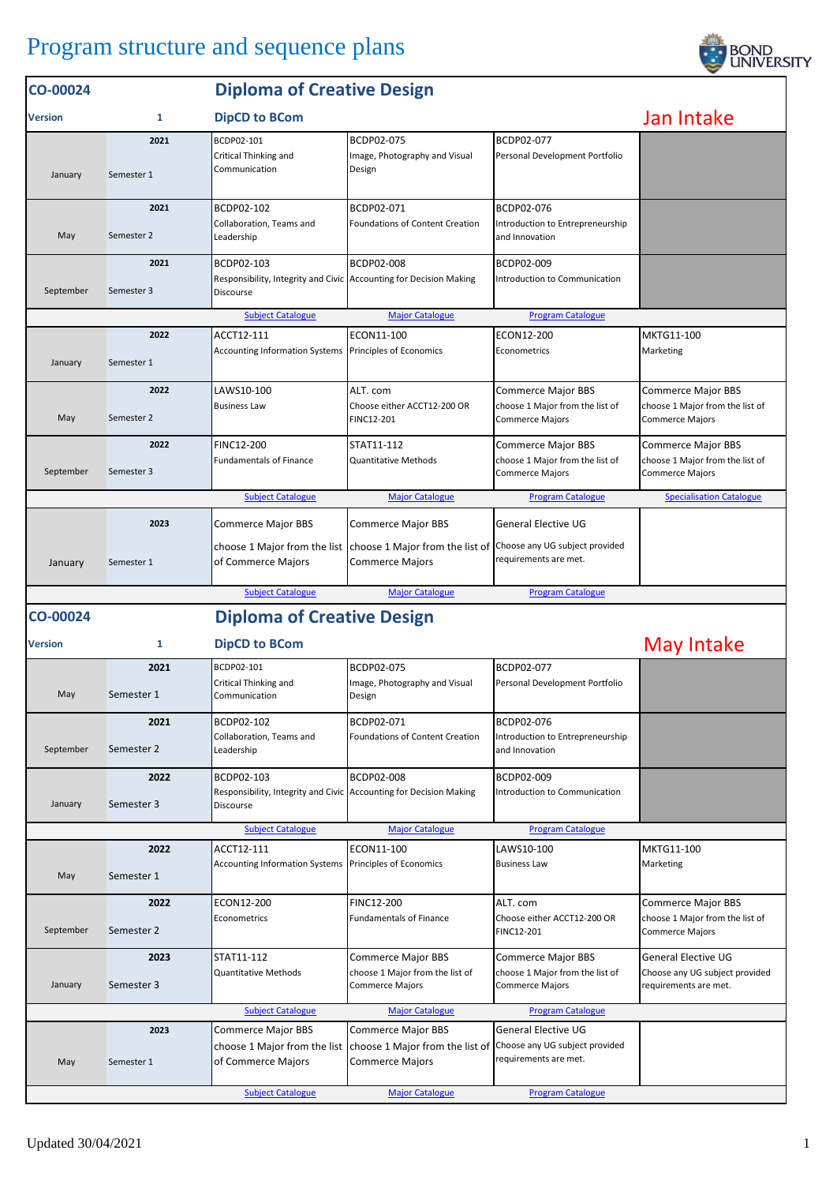## Program structure and sequence plans



| CO-00024       |                                                                                                                   | <b>Diploma of Creative Design</b>                                                             |                                                                                        |                                                                                        |                                                                                        |  |  |  |
|----------------|-------------------------------------------------------------------------------------------------------------------|-----------------------------------------------------------------------------------------------|----------------------------------------------------------------------------------------|----------------------------------------------------------------------------------------|----------------------------------------------------------------------------------------|--|--|--|
| <b>Version</b> | $\mathbf{1}$                                                                                                      | <b>DipCD to BCom</b>                                                                          | Jan Intake                                                                             |                                                                                        |                                                                                        |  |  |  |
| January        | 2021<br>Semester 1                                                                                                | BCDP02-101<br>Critical Thinking and<br>Communication                                          | BCDP02-075<br>Image, Photography and Visual<br>Design                                  | BCDP02-077<br>Personal Development Portfolio                                           |                                                                                        |  |  |  |
| May            | 2021<br>Semester 2                                                                                                | BCDP02-102<br>Collaboration, Teams and<br>Leadership                                          | BCDP02-071<br><b>Foundations of Content Creation</b>                                   | BCDP02-076<br>Introduction to Entrepreneurship<br>and Innovation                       |                                                                                        |  |  |  |
| September      | 2021<br>Semester 3                                                                                                | BCDP02-103<br>Responsibility, Integrity and Civic Accounting for Decision Making<br>Discourse | BCDP02-008                                                                             | BCDP02-009<br>Introduction to Communication                                            |                                                                                        |  |  |  |
|                |                                                                                                                   | <b>Subject Catalogue</b>                                                                      | <b>Major Catalogue</b>                                                                 | <b>Program Catalogue</b>                                                               |                                                                                        |  |  |  |
| January        | 2022<br>Semester 1                                                                                                | ACCT12-111<br><b>Accounting Information Systems</b>                                           | ECON11-100<br>Principles of Economics                                                  | ECON12-200<br>Econometrics                                                             | MKTG11-100<br>Marketing                                                                |  |  |  |
| May            | 2022<br>Semester 2                                                                                                | LAWS10-100<br><b>Business Law</b>                                                             | ALT. com<br>Choose either ACCT12-200 OR<br>FINC12-201                                  | Commerce Major BBS<br>choose 1 Major from the list of<br>Commerce Majors               | <b>Commerce Major BBS</b><br>choose 1 Major from the list of<br><b>Commerce Majors</b> |  |  |  |
| September      | 2022<br>Semester 3                                                                                                | <b>FINC12-200</b><br><b>Fundamentals of Finance</b>                                           | STAT11-112<br>Quantitative Methods                                                     | <b>Commerce Major BBS</b><br>choose 1 Major from the list of<br><b>Commerce Majors</b> | <b>Commerce Major BBS</b><br>choose 1 Major from the list of<br><b>Commerce Majors</b> |  |  |  |
|                | <b>Specialisation Catalogue</b><br><b>Subject Catalogue</b><br><b>Major Catalogue</b><br><b>Program Catalogue</b> |                                                                                               |                                                                                        |                                                                                        |                                                                                        |  |  |  |
| January        | 2023<br>Semester 1                                                                                                | Commerce Major BBS<br>choose 1 Major from the list<br>of Commerce Majors                      | <b>Commerce Major BBS</b><br>choose 1 Major from the list of<br><b>Commerce Majors</b> | <b>General Elective UG</b><br>Choose any UG subject provided<br>requirements are met.  |                                                                                        |  |  |  |
|                |                                                                                                                   | <b>Subject Catalogue</b>                                                                      | <b>Major Catalogue</b>                                                                 | <b>Program Catalogue</b>                                                               |                                                                                        |  |  |  |
| CO-00024       |                                                                                                                   | <b>Diploma of Creative Design</b>                                                             |                                                                                        |                                                                                        |                                                                                        |  |  |  |
| <b>Version</b> | 1                                                                                                                 | <b>DipCD to BCom</b>                                                                          |                                                                                        |                                                                                        | May Intake                                                                             |  |  |  |
| May            | 2021<br>Semester 1                                                                                                | BCDP02-101<br>Critical Thinking and<br>Communication                                          | BCDP02-075<br>Image, Photography and Visual<br>Design                                  | BCDP02-077<br>Personal Development Portfolio                                           |                                                                                        |  |  |  |
| September      | 2021<br>Semester 2                                                                                                | BCDP02-102<br>Collaboration, Teams and<br>Leadership                                          | BCDP02-071<br>Foundations of Content Creation                                          | BCDP02-076<br>Introduction to Entrepreneurship<br>and Innovation                       |                                                                                        |  |  |  |
| January        | 2022<br>Semester 3                                                                                                | BCDP02-103<br>Responsibility, Integrity and Civic Accounting for Decision Making<br>Discourse | BCDP02-008                                                                             | BCDP02-009<br>Introduction to Communication                                            |                                                                                        |  |  |  |
|                |                                                                                                                   | <b>Subject Catalogue</b>                                                                      | <b>Major Catalogue</b>                                                                 | <b>Program Catalogue</b>                                                               |                                                                                        |  |  |  |
| May            | 2022<br>Semester 1                                                                                                | ACCT12-111<br><b>Accounting Information Systems</b>                                           | ECON11-100<br>Principles of Economics                                                  | LAWS10-100<br><b>Business Law</b>                                                      | MKTG11-100<br>Marketing                                                                |  |  |  |
| September      | 2022<br>Semester 2                                                                                                | ECON12-200<br>Econometrics                                                                    | FINC12-200<br><b>Fundamentals of Finance</b>                                           | ALT. com<br>Choose either ACCT12-200 OR<br>FINC12-201                                  | Commerce Major BBS<br>choose 1 Major from the list of<br><b>Commerce Majors</b>        |  |  |  |
| January        | 2023<br>Semester 3                                                                                                | STAT11-112<br>Quantitative Methods                                                            | <b>Commerce Major BBS</b><br>choose 1 Major from the list of<br>Commerce Majors        | <b>Commerce Major BBS</b><br>choose 1 Major from the list of<br>Commerce Majors        | General Elective UG<br>Choose any UG subject provided<br>requirements are met.         |  |  |  |
|                |                                                                                                                   | <b>Subject Catalogue</b>                                                                      | <b>Major Catalogue</b>                                                                 | <b>Program Catalogue</b>                                                               |                                                                                        |  |  |  |
| May            | 2023<br>Semester 1                                                                                                | Commerce Major BBS<br>choose 1 Major from the list<br>of Commerce Majors                      | <b>Commerce Major BBS</b><br>choose 1 Major from the list of<br>Commerce Majors        | <b>General Elective UG</b><br>Choose any UG subject provided<br>requirements are met.  |                                                                                        |  |  |  |
|                |                                                                                                                   | <b>Subject Catalogue</b>                                                                      | <b>Major Catalogue</b>                                                                 | <b>Program Catalogue</b>                                                               |                                                                                        |  |  |  |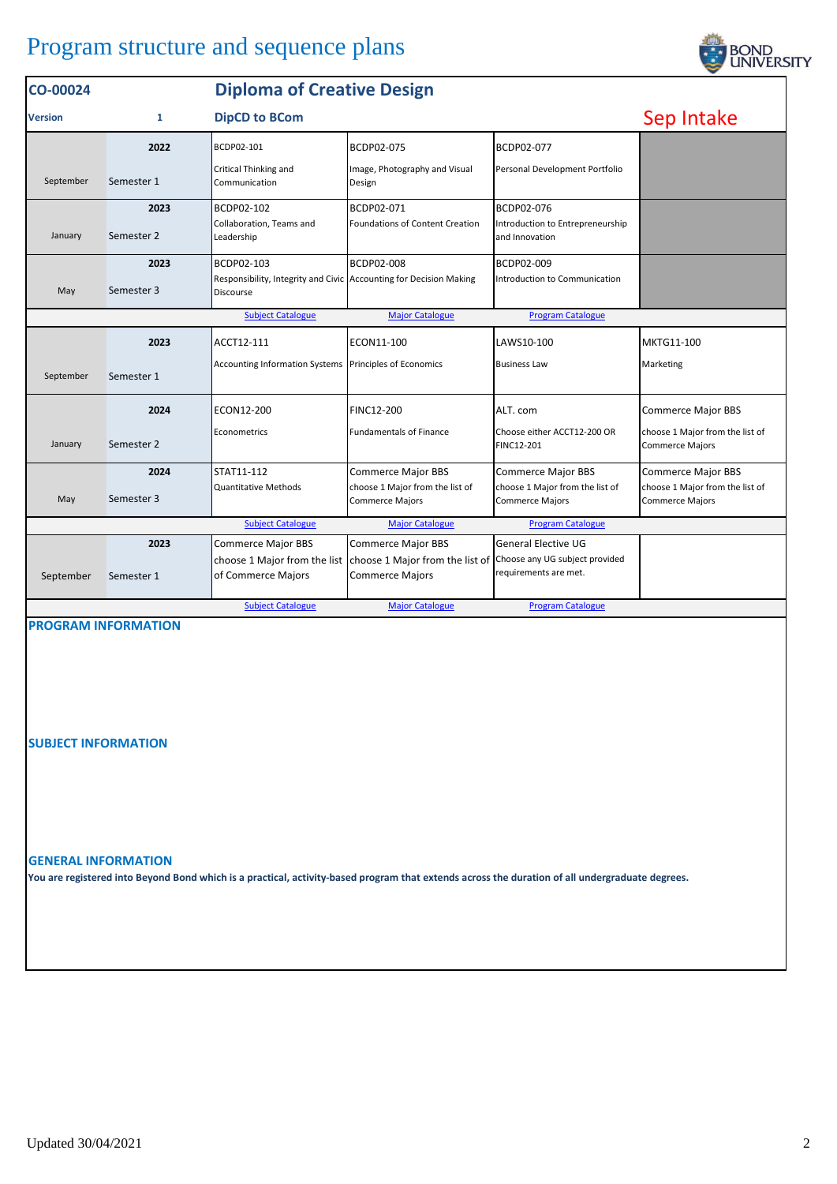## Program structure and sequence plans

| CO-00024       | <b>Diploma of Creative Design</b> |                                                                                 |                                                                                        |                                                         |                                                           |
|----------------|-----------------------------------|---------------------------------------------------------------------------------|----------------------------------------------------------------------------------------|---------------------------------------------------------|-----------------------------------------------------------|
| <b>Version</b> | 1                                 | <b>DipCD to BCom</b>                                                            |                                                                                        |                                                         | Sep Intake                                                |
|                | 2022                              | BCDP02-101                                                                      | BCDP02-075                                                                             | BCDP02-077                                              |                                                           |
| September      | Semester 1                        | Critical Thinking and<br>Communication                                          | Image, Photography and Visual<br>Design                                                | Personal Development Portfolio                          |                                                           |
|                | 2023                              | BCDP02-102                                                                      | BCDP02-071                                                                             | BCDP02-076                                              |                                                           |
| January        | Semester 2                        | Collaboration, Teams and<br>Leadership                                          | <b>Foundations of Content Creation</b>                                                 | Introduction to Entrepreneurship<br>and Innovation      |                                                           |
|                | 2023                              | BCDP02-103                                                                      | <b>BCDP02-008</b>                                                                      | BCDP02-009                                              |                                                           |
| May            | Semester 3                        | Responsibility, Integrity and Civic Accounting for Decision Making<br>Discourse |                                                                                        | Introduction to Communication                           |                                                           |
|                |                                   |                                                                                 |                                                                                        |                                                         |                                                           |
|                | 2023                              | ACCT12-111                                                                      | ECON11-100                                                                             | LAWS10-100                                              | MKTG11-100                                                |
| September      | Semester 1                        | Accounting Information Systems Principles of Economics                          |                                                                                        | <b>Business Law</b>                                     | Marketing                                                 |
|                | 2024                              | ECON12-200                                                                      | <b>FINC12-200</b>                                                                      | ALT. com                                                | <b>Commerce Major BBS</b>                                 |
| January        | Semester 2                        | Econometrics                                                                    | <b>Fundamentals of Finance</b>                                                         | Choose either ACCT12-200 OR<br>FINC12-201               | choose 1 Major from the list of<br><b>Commerce Majors</b> |
|                | 2024                              | STAT11-112                                                                      | <b>Commerce Major BBS</b>                                                              | <b>Commerce Major BBS</b>                               | <b>Commerce Major BBS</b>                                 |
| May            | Semester 3                        | <b>Quantitative Methods</b>                                                     | choose 1 Major from the list of<br><b>Commerce Majors</b>                              | choose 1 Major from the list of<br>Commerce Majors      | choose 1 Major from the list of<br><b>Commerce Majors</b> |
|                |                                   | <b>Subject Catalogue</b>                                                        | <b>Major Catalogue</b>                                                                 | <b>Program Catalogue</b>                                |                                                           |
|                | 2023                              | <b>Commerce Major BBS</b>                                                       | <b>Commerce Major BBS</b>                                                              | <b>General Elective UG</b>                              |                                                           |
| September      | Semester 1                        | of Commerce Majors                                                              | choose 1 Major from the list choose 1 Major from the list of<br><b>Commerce Majors</b> | Choose any UG subject provided<br>requirements are met. |                                                           |
|                |                                   | <b>Subject Catalogue</b>                                                        | <b>Major Catalogue</b>                                                                 | <b>Program Catalogue</b>                                |                                                           |

**PROGRAM INFORMATION**

**SUBJECT INFORMATION**

## **GENERAL INFORMATION**

**You are registered into Beyond Bond which is a practical, activity-based program that extends across the duration of all undergraduate degrees.**